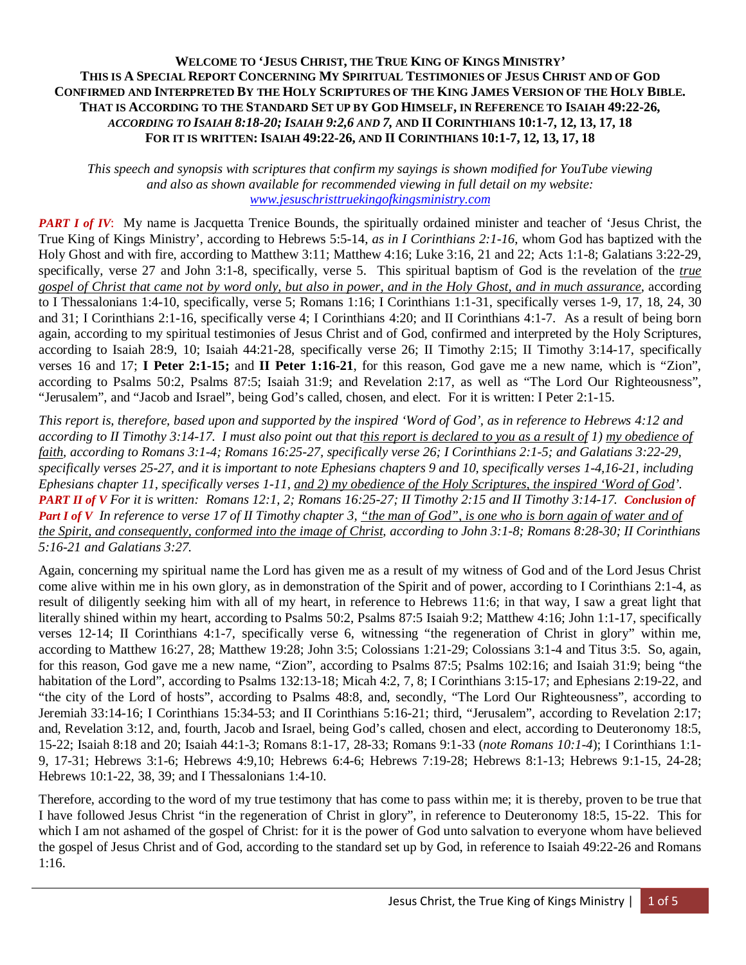## **WELCOME TO 'JESUS CHRIST, THE TRUE KING OF KINGS MINISTRY' THIS IS A SPECIAL REPORT CONCERNING MY SPIRITUAL TESTIMONIES OF JESUS CHRIST AND OF GOD CONFIRMED AND INTERPRETED BY THE HOLY SCRIPTURES OF THE KING JAMES VERSION OF THE HOLY BIBLE. THAT IS ACCORDING TO THE STANDARD SET UP BY GOD HIMSELF, IN REFERENCE TO ISAIAH 49:22-26,** *ACCORDING TO ISAIAH 8:18-20; ISAIAH 9:2,6 AND 7,* **AND II CORINTHIANS 10:1-7, 12, 13, 17, 18 FOR IT IS WRITTEN:ISAIAH 49:22-26, AND II CORINTHIANS 10:1-7, 12, 13, 17, 18**

*This speech and synopsis with scriptures that confirm my sayings is shown modified for YouTube viewing and also as shown available for recommended viewing in full detail on my website: [www.jesuschristtruekingofkingsministry.com](http://www.jesuschristtruekingofkingsministry.com/)*

*PART I of IV*: My name is Jacquetta Trenice Bounds, the spiritually ordained minister and teacher of 'Jesus Christ, the True King of Kings Ministry', according to Hebrews 5:5-14, *as in I Corinthians 2:1-16*, whom God has baptized with the Holy Ghost and with fire, according to Matthew 3:11; Matthew 4:16; Luke 3:16, 21 and 22; Acts 1:1-8; Galatians 3:22-29, specifically, verse 27 and John 3:1-8, specifically, verse 5. This spiritual baptism of God is the revelation of the *true gospel of Christ that came not by word only, but also in power, and in the Holy Ghost, and in much assurance*, according to I Thessalonians 1:4-10, specifically, verse 5; Romans 1:16; I Corinthians 1:1-31, specifically verses 1-9, 17, 18, 24, 30 and 31; I Corinthians 2:1-16, specifically verse 4; I Corinthians 4:20; and II Corinthians 4:1-7. As a result of being born again, according to my spiritual testimonies of Jesus Christ and of God, confirmed and interpreted by the Holy Scriptures, according to Isaiah 28:9, 10; Isaiah 44:21-28, specifically verse 26; II Timothy 2:15; II Timothy 3:14-17, specifically verses 16 and 17; **I Peter 2:1-15;** and **II Peter 1:16-21**, for this reason, God gave me a new name, which is "Zion", according to Psalms 50:2, Psalms 87:5; Isaiah 31:9; and Revelation 2:17, as well as "The Lord Our Righteousness", "Jerusalem", and "Jacob and Israel", being God's called, chosen, and elect. For it is written: I Peter 2:1-15.

*This report is, therefore, based upon and supported by the inspired 'Word of God', as in reference to Hebrews 4:12 and according to II Timothy 3:14-17. I must also point out that this report is declared to you as a result of 1) my obedience of faith, according to Romans 3:1-4; Romans 16:25-27, specifically verse 26; I Corinthians 2:1-5; and Galatians 3:22-29, specifically verses 25-27, and it is important to note Ephesians chapters 9 and 10, specifically verses 1-4,16-21, including Ephesians chapter 11, specifically verses 1-11, and 2) my obedience of the Holy Scriptures, the inspired 'Word of God'. PART II of V For it is written: Romans 12:1, 2; Romans 16:25-27; II Timothy 2:15 and II Timothy 3:14-17. Conclusion of Part I of V In reference to verse 17 of II Timothy chapter 3, "the man of God", is one who is born again of water and of the Spirit, and consequently, conformed into the image of Christ, according to John 3:1-8; Romans 8:28-30; II Corinthians 5:16-21 and Galatians 3:27.*

Again, concerning my spiritual name the Lord has given me as a result of my witness of God and of the Lord Jesus Christ come alive within me in his own glory, as in demonstration of the Spirit and of power, according to I Corinthians 2:1-4, as result of diligently seeking him with all of my heart, in reference to Hebrews 11:6; in that way, I saw a great light that literally shined within my heart, according to Psalms 50:2, Psalms 87:5 Isaiah 9:2; Matthew 4:16; John 1:1-17, specifically verses 12-14; II Corinthians 4:1-7, specifically verse 6, witnessing "the regeneration of Christ in glory" within me, according to Matthew 16:27, 28; Matthew 19:28; John 3:5; Colossians 1:21-29; Colossians 3:1-4 and Titus 3:5. So, again, for this reason, God gave me a new name, "Zion", according to Psalms 87:5; Psalms 102:16; and Isaiah 31:9; being "the habitation of the Lord", according to Psalms 132:13-18; Micah 4:2, 7, 8; I Corinthians 3:15-17; and Ephesians 2:19-22, and "the city of the Lord of hosts", according to Psalms 48:8, and, secondly, "The Lord Our Righteousness", according to Jeremiah 33:14-16; I Corinthians 15:34-53; and II Corinthians 5:16-21; third, "Jerusalem", according to Revelation 2:17; and, Revelation 3:12, and, fourth, Jacob and Israel, being God's called, chosen and elect, according to Deuteronomy 18:5, 15-22; Isaiah 8:18 and 20; Isaiah 44:1-3; Romans 8:1-17, 28-33; Romans 9:1-33 (*note Romans 10:1-4*); I Corinthians 1:1- 9, 17-31; Hebrews 3:1-6; Hebrews 4:9,10; Hebrews 6:4-6; Hebrews 7:19-28; Hebrews 8:1-13; Hebrews 9:1-15, 24-28; Hebrews 10:1-22, 38, 39; and I Thessalonians 1:4-10.

Therefore, according to the word of my true testimony that has come to pass within me; it is thereby, proven to be true that I have followed Jesus Christ "in the regeneration of Christ in glory", in reference to Deuteronomy 18:5, 15-22. This for which I am not ashamed of the gospel of Christ: for it is the power of God unto salvation to everyone whom have believed the gospel of Jesus Christ and of God, according to the standard set up by God, in reference to Isaiah 49:22-26 and Romans 1:16.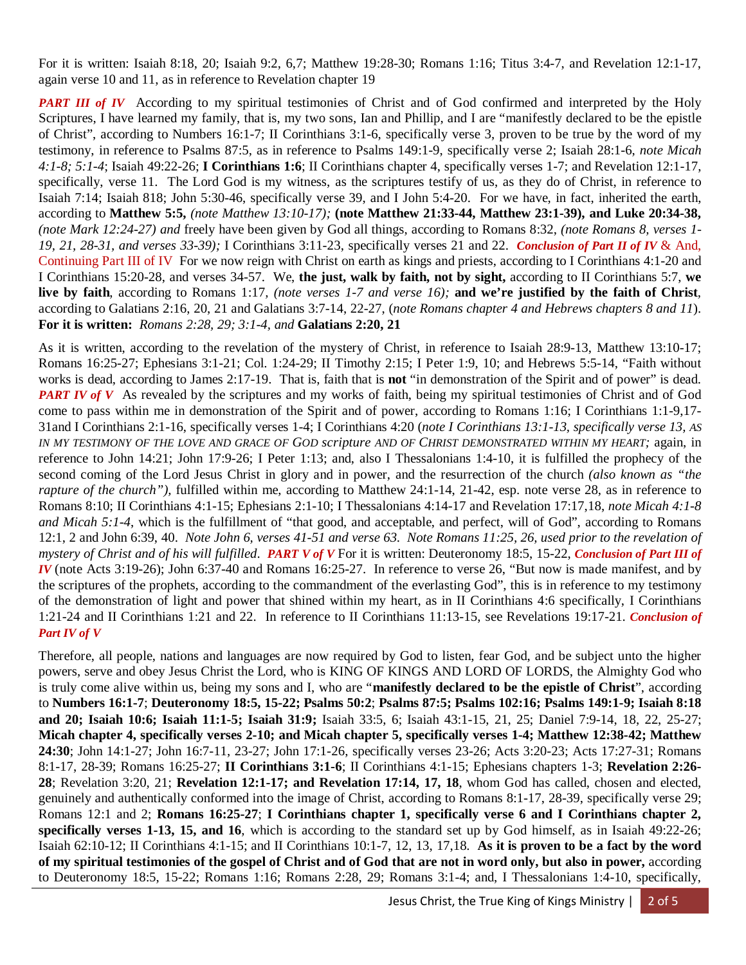For it is written: Isaiah 8:18, 20; Isaiah 9:2, 6,7; Matthew 19:28-30; Romans 1:16; Titus 3:4-7, and Revelation 12:1-17, again verse 10 and 11, as in reference to Revelation chapter 19

*PART III of IV* According to my spiritual testimonies of Christ and of God confirmed and interpreted by the Holy Scriptures, I have learned my family, that is, my two sons, Ian and Phillip, and I are "manifestly declared to be the epistle of Christ", according to Numbers 16:1-7; II Corinthians 3:1-6, specifically verse 3, proven to be true by the word of my testimony, in reference to Psalms 87:5, as in reference to Psalms 149:1-9, specifically verse 2; Isaiah 28:1-6, *note Micah 4:1-8; 5:1-4*; Isaiah 49:22-26; **I Corinthians 1:6**; II Corinthians chapter 4, specifically verses 1-7; and Revelation 12:1-17, specifically, verse 11. The Lord God is my witness, as the scriptures testify of us, as they do of Christ, in reference to Isaiah 7:14; Isaiah 818; John 5:30-46, specifically verse 39, and I John 5:4-20. For we have, in fact, inherited the earth, according to **Matthew 5:5,** *(note Matthew 13:10-17);* **(note Matthew 21:33-44, Matthew 23:1-39), and Luke 20:34-38,** *(note Mark 12:24-27) and* freely have been given by God all things, according to Romans 8:32, *(note Romans 8, verses 1- 19, 21, 28-31, and verses 33-39);* I Corinthians 3:11-23, specifically verses 21 and 22. *Conclusion of Part II of IV* & And, Continuing Part III of IV For we now reign with Christ on earth as kings and priests, according to I Corinthians 4:1-20 and I Corinthians 15:20-28, and verses 34-57. We, **the just, walk by faith, not by sight,** according to II Corinthians 5:7, **we live by faith**, according to Romans 1:17*, (note verses 1-7 and verse 16);* **and we're justified by the faith of Christ**, according to Galatians 2:16, 20, 21 and Galatians 3:7-14, 22-27, (*note Romans chapter 4 and Hebrews chapters 8 and 11*). **For it is written:** *Romans 2:28, 29; 3:1-4, and* **Galatians 2:20, 21**

As it is written, according to the revelation of the mystery of Christ, in reference to Isaiah 28:9-13, Matthew 13:10-17; Romans 16:25-27; Ephesians 3:1-21; Col. 1:24-29; II Timothy 2:15; I Peter 1:9, 10; and Hebrews 5:5-14, "Faith without works is dead, according to James 2:17-19. That is, faith that is **not** "in demonstration of the Spirit and of power" is dead. *PART IV of V* As revealed by the scriptures and my works of faith, being my spiritual testimonies of Christ and of God come to pass within me in demonstration of the Spirit and of power, according to Romans 1:16; I Corinthians 1:1-9,17- 31and I Corinthians 2:1-16, specifically verses 1-4; I Corinthians 4:20 (*note I Corinthians 13:1-13, specifically verse 13, AS IN MY TESTIMONY OF THE LOVE AND GRACE OF GOD scripture AND OF CHRIST DEMONSTRATED WITHIN MY HEART;* again, in reference to John 14:21; John 17:9-26; I Peter 1:13; and, also I Thessalonians 1:4-10, it is fulfilled the prophecy of the second coming of the Lord Jesus Christ in glory and in power, and the resurrection of the church *(also known as "the rapture of the church")*, fulfilled within me, according to Matthew 24:1-14, 21-42, esp. note verse 28, as in reference to Romans 8:10; II Corinthians 4:1-15; Ephesians 2:1-10; I Thessalonians 4:14-17 and Revelation 17:17,18, *note Micah 4:1-8 and Micah 5:1-4*, which is the fulfillment of "that good, and acceptable, and perfect, will of God", according to Romans 12:1, 2 and John 6:39, 40. *Note John 6, verses 41-51 and verse 63. Note Romans 11:25, 26, used prior to the revelation of mystery of Christ and of his will fulfilled*. *PART V of V* For it is written: Deuteronomy 18:5, 15-22, *Conclusion of Part III of IV* (note Acts 3:19-26); John 6:37-40 and Romans 16:25-27. In reference to verse 26, "But now is made manifest, and by the scriptures of the prophets, according to the commandment of the everlasting God", this is in reference to my testimony of the demonstration of light and power that shined within my heart, as in II Corinthians 4:6 specifically, I Corinthians 1:21-24 and II Corinthians 1:21 and 22. In reference to II Corinthians 11:13-15, see Revelations 19:17-21. *Conclusion of Part IV of V*

Therefore, all people, nations and languages are now required by God to listen, fear God, and be subject unto the higher powers, serve and obey Jesus Christ the Lord, who is KING OF KINGS AND LORD OF LORDS, the Almighty God who is truly come alive within us, being my sons and I, who are "**manifestly declared to be the epistle of Christ**", according to **Numbers 16:1-7**; **Deuteronomy 18:5, 15-22; Psalms 50:2**; **Psalms 87:5; Psalms 102:16; Psalms 149:1-9; Isaiah 8:18 and 20; Isaiah 10:6; Isaiah 11:1-5; Isaiah 31:9;** Isaiah 33:5, 6; Isaiah 43:1-15, 21, 25; Daniel 7:9-14, 18, 22, 25-27; **Micah chapter 4, specifically verses 2-10; and Micah chapter 5, specifically verses 1-4; Matthew 12:38-42; Matthew 24:30**; John 14:1-27; John 16:7-11, 23-27; John 17:1-26, specifically verses 23-26; Acts 3:20-23; Acts 17:27-31; Romans 8:1-17, 28-39; Romans 16:25-27; **II Corinthians 3:1-6**; II Corinthians 4:1-15; Ephesians chapters 1-3; **Revelation 2:26- 28**; Revelation 3:20, 21; **Revelation 12:1-17; and Revelation 17:14, 17, 18**, whom God has called, chosen and elected, genuinely and authentically conformed into the image of Christ, according to Romans 8:1-17, 28-39, specifically verse 29; Romans 12:1 and 2; **Romans 16:25-27**; **I Corinthians chapter 1, specifically verse 6 and I Corinthians chapter 2, specifically verses 1-13, 15, and 16**, which is according to the standard set up by God himself, as in Isaiah 49:22-26; Isaiah 62:10-12; II Corinthians 4:1-15; and II Corinthians 10:1-7, 12, 13, 17,18. **As it is proven to be a fact by the word of my spiritual testimonies of the gospel of Christ and of God that are not in word only, but also in power,** according to Deuteronomy 18:5, 15-22; Romans 1:16; Romans 2:28, 29; Romans 3:1-4; and, I Thessalonians 1:4-10, specifically,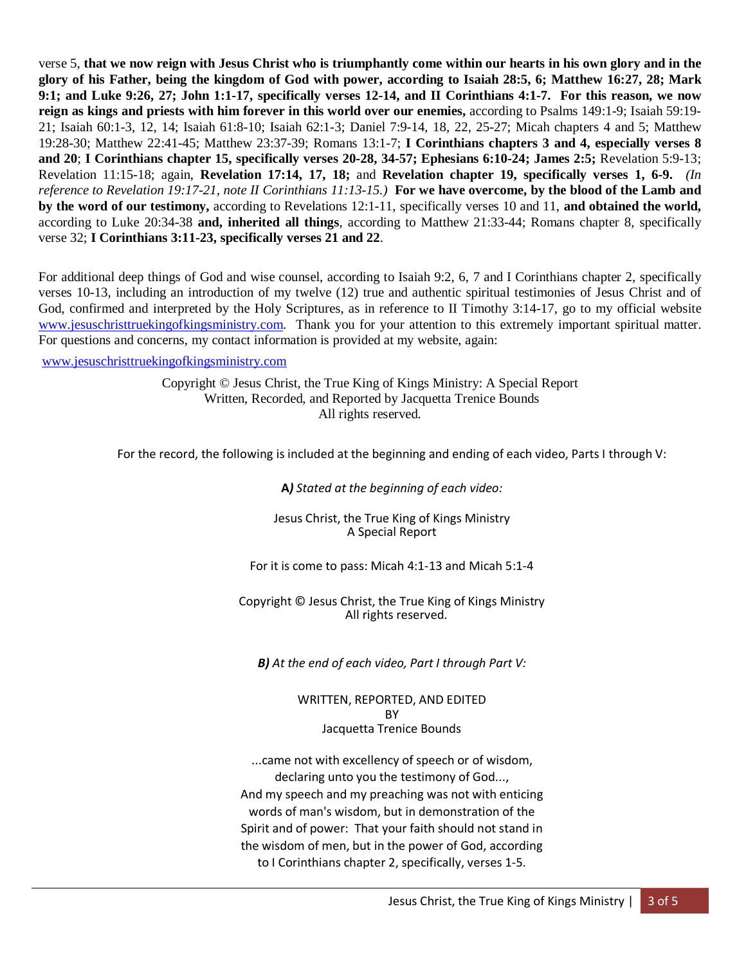verse 5, **that we now reign with Jesus Christ who is triumphantly come within our hearts in his own glory and in the glory of his Father, being the kingdom of God with power, according to Isaiah 28:5, 6; Matthew 16:27, 28; Mark 9:1; and Luke 9:26, 27; John 1:1-17, specifically verses 12-14, and II Corinthians 4:1-7. For this reason, we now reign as kings and priests with him forever in this world over our enemies,** according to Psalms 149:1-9; Isaiah 59:19- 21; Isaiah 60:1-3, 12, 14; Isaiah 61:8-10; Isaiah 62:1-3; Daniel 7:9-14, 18, 22, 25-27; Micah chapters 4 and 5; Matthew 19:28-30; Matthew 22:41-45; Matthew 23:37-39; Romans 13:1-7; **I Corinthians chapters 3 and 4, especially verses 8 and 20**; **I Corinthians chapter 15, specifically verses 20-28, 34-57; Ephesians 6:10-24; James 2:5;** Revelation 5:9-13; Revelation 11:15-18; again, **Revelation 17:14, 17, 18;** and **Revelation chapter 19, specifically verses 1, 6-9.** *(In reference to Revelation 19:17-21, note II Corinthians 11:13-15.)* **For we have overcome, by the blood of the Lamb and by the word of our testimony,** according to Revelations 12:1-11, specifically verses 10 and 11, **and obtained the world,**  according to Luke 20:34-38 **and, inherited all things**, according to Matthew 21:33-44; Romans chapter 8, specifically verse 32; **I Corinthians 3:11-23, specifically verses 21 and 22**.

For additional deep things of God and wise counsel, according to Isaiah 9:2, 6, 7 and I Corinthians chapter 2, specifically verses 10-13, including an introduction of my twelve (12) true and authentic spiritual testimonies of Jesus Christ and of God, confirmed and interpreted by the Holy Scriptures, as in reference to II Timothy 3:14-17, go to my official website [www.jesuschristtruekingofkingsministry.com.](http://www.jesuschristtruekingofkingsministry.com/) Thank you for your attention to this extremely important spiritual matter. For questions and concerns, my contact information is provided at my website, again:

## [www.jesuschristtruekingofkingsministry.com](http://www.jesuschristtruekingofkingsministry.com/)

Copyright © Jesus Christ, the True King of Kings Ministry: A Special Report Written, Recorded, and Reported by Jacquetta Trenice Bounds All rights reserved.

For the record, the following is included at the beginning and ending of each video, Parts I through V:

**A***) Stated at the beginning of each video:*

Jesus Christ, the True King of Kings Ministry A Special Report

For it is come to pass: Micah 4:1-13 and Micah 5:1-4

Copyright © Jesus Christ, the True King of Kings Ministry All rights reserved.

*B) At the end of each video, Part I through Part V:*

## WRITTEN, REPORTED, AND EDITED **BY** Jacquetta Trenice Bounds

...came not with excellency of speech or of wisdom, declaring unto you the testimony of God..., And my speech and my preaching was not with enticing words of man's wisdom, but in demonstration of the Spirit and of power: That your faith should not stand in the wisdom of men, but in the power of God, according to I Corinthians chapter 2, specifically, verses 1-5.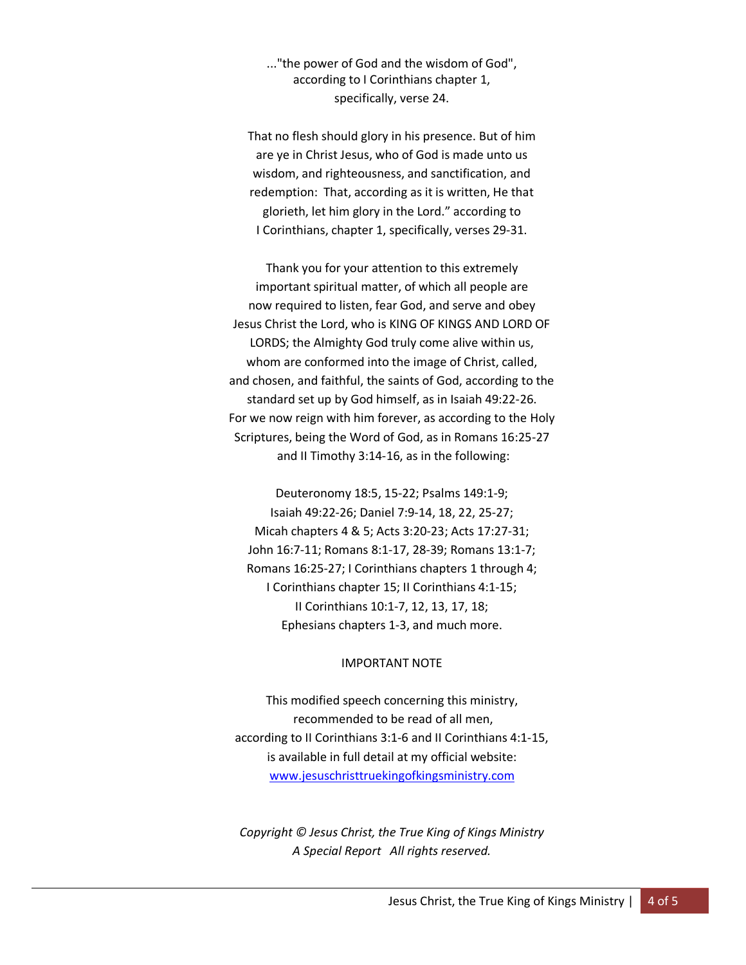..."the power of God and the wisdom of God", according to I Corinthians chapter 1, specifically, verse 24.

That no flesh should glory in his presence. But of him are ye in Christ Jesus, who of God is made unto us wisdom, and righteousness, and sanctification, and redemption: That, according as it is written, He that glorieth, let him glory in the Lord." according to I Corinthians, chapter 1, specifically, verses 29-31.

Thank you for your attention to this extremely important spiritual matter, of which all people are now required to listen, fear God, and serve and obey Jesus Christ the Lord, who is KING OF KINGS AND LORD OF LORDS; the Almighty God truly come alive within us, whom are conformed into the image of Christ, called, and chosen, and faithful, the saints of God, according to the standard set up by God himself, as in Isaiah 49:22-26. For we now reign with him forever, as according to the Holy Scriptures, being the Word of God, as in Romans 16:25-27 and II Timothy 3:14-16, as in the following:

Deuteronomy 18:5, 15-22; Psalms 149:1-9; Isaiah 49:22-26; Daniel 7:9-14, 18, 22, 25-27; Micah chapters 4 & 5; Acts 3:20-23; Acts 17:27-31; John 16:7-11; Romans 8:1-17, 28-39; Romans 13:1-7; Romans 16:25-27; I Corinthians chapters 1 through 4; I Corinthians chapter 15; II Corinthians 4:1-15; II Corinthians 10:1-7, 12, 13, 17, 18; Ephesians chapters 1-3, and much more.

## IMPORTANT NOTE

This modified speech concerning this ministry, recommended to be read of all men, according to II Corinthians 3:1-6 and II Corinthians 4:1-15, is available in full detail at my official website: [www.jesuschristtruekingofkingsministry.com](http://www.jesuschristtruekingofkingsministry.com/)

*Copyright © Jesus Christ, the True King of Kings Ministry A Special Report All rights reserved.*